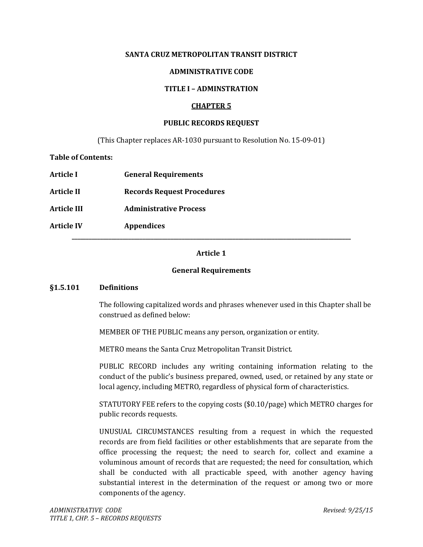### **SANTA CRUZ METROPOLITAN TRANSIT DISTRICT**

### **ADMINISTRATIVE CODE**

### **TITLE I – ADMINSTRATION**

### **CHAPTER 5**

#### **PUBLIC RECORDS REQUEST**

(This Chapter replaces AR-1030 pursuant to Resolution No. 15-09-01)

**Table of Contents:** 

| Article I          | <b>General Requirements</b>       |
|--------------------|-----------------------------------|
| <b>Article II</b>  | <b>Records Request Procedures</b> |
| <b>Article III</b> | <b>Administrative Process</b>     |
| <b>Article IV</b>  | <b>Appendices</b>                 |

## **Article 1**

### **General Requirements**

#### **§1.5.101 Definitions**

The following capitalized words and phrases whenever used in this Chapter shall be construed as defined below:

MEMBER OF THE PUBLIC means any person, organization or entity.

METRO means the Santa Cruz Metropolitan Transit District.

PUBLIC RECORD includes any writing containing information relating to the conduct of the public's business prepared, owned, used, or retained by any state or local agency, including METRO, regardless of physical form of characteristics.

STATUTORY FEE refers to the copying costs (\$0.10/page) which METRO charges for public records requests.

UNUSUAL CIRCUMSTANCES resulting from a request in which the requested records are from field facilities or other establishments that are separate from the office processing the request; the need to search for, collect and examine a voluminous amount of records that are requested; the need for consultation, which shall be conducted with all practicable speed, with another agency having substantial interest in the determination of the request or among two or more components of the agency.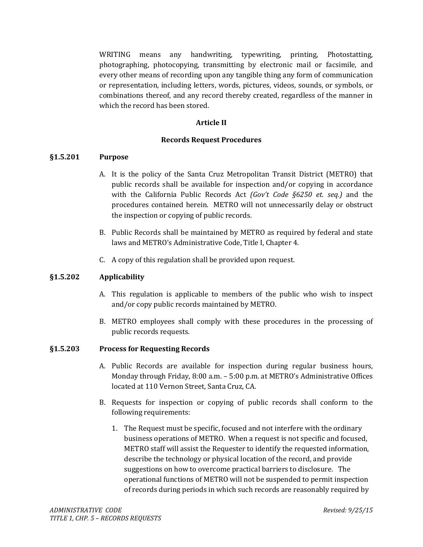WRITING means any handwriting, typewriting, printing, Photostatting, photographing, photocopying, transmitting by electronic mail or facsimile, and every other means of recording upon any tangible thing any form of communication or representation, including letters, words, pictures, videos, sounds, or symbols, or combinations thereof, and any record thereby created, regardless of the manner in which the record has been stored.

### **Article II**

#### **Records Request Procedures**

#### **§1.5.201 Purpose**

- A. It is the policy of the Santa Cruz Metropolitan Transit District (METRO) that public records shall be available for inspection and/or copying in accordance with the California Public Records Act *(Gov't Code §6250 et. seq.)* and the procedures contained herein. METRO will not unnecessarily delay or obstruct the inspection or copying of public records.
- B. Public Records shall be maintained by METRO as required by federal and state laws and METRO's Administrative Code, Title I, Chapter 4.
- C. A copy of this regulation shall be provided upon request.

#### **§1.5.202 Applicability**

- A. This regulation is applicable to members of the public who wish to inspect and/or copy public records maintained by METRO.
- B. METRO employees shall comply with these procedures in the processing of public records requests.

#### **§1.5.203 Process for Requesting Records**

- A. Public Records are available for inspection during regular business hours, Monday through Friday, 8:00 a.m. – 5:00 p.m. at METRO's Administrative Offices located at 110 Vernon Street, Santa Cruz, CA.
- B. Requests for inspection or copying of public records shall conform to the following requirements:
	- 1. The Request must be specific, focused and not interfere with the ordinary business operations of METRO. When a request is not specific and focused, METRO staff will assist the Requester to identify the requested information, describe the technology or physical location of the record, and provide suggestions on how to overcome practical barriers to disclosure. The operational functions of METRO will not be suspended to permit inspection of records during periods in which such records are reasonably required by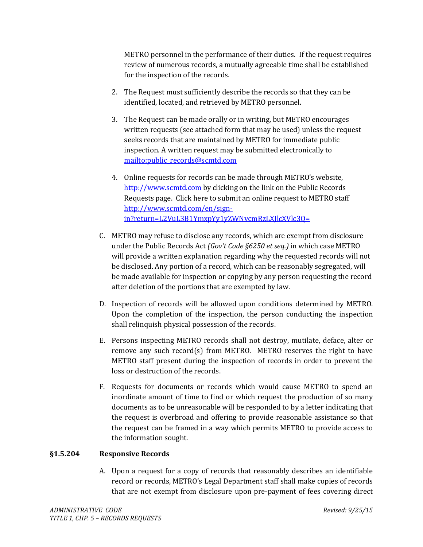METRO personnel in the performance of their duties. If the request requires review of numerous records, a mutually agreeable time shall be established for the inspection of the records.

- 2. The Request must sufficiently describe the records so that they can be identified, located, and retrieved by METRO personnel.
- 3. The Request can be made orally or in writing, but METRO encourages written requests (see attached form that may be used) unless the request seeks records that are maintained by METRO for immediate public inspection. A written request may be submitted electronically to [mailto:public\\_records@scmtd.com](mailto:public_records@scmtd.com)
- 4. Online requests for records can be made through METRO's website, [http://www.scmtd.com](http://www.scmtd.com/) by clicking on the link on the Public Records Requests page. Click here to submit an online request to METRO staff [http://www.scmtd.com/en/sign](http://www.scmtd.com/en/sign-in?return=L2VuL3B1YmxpYy1yZWNvcmRzLXJlcXVlc3Q=)[in?return=L2VuL3B1YmxpYy1yZWNvcmRzLXJlcXVlc3Q=](http://www.scmtd.com/en/sign-in?return=L2VuL3B1YmxpYy1yZWNvcmRzLXJlcXVlc3Q=)
- C. METRO may refuse to disclose any records, which are exempt from disclosure under the Public Records Act *(Gov't Code §6250 et seq.)* in which case METRO will provide a written explanation regarding why the requested records will not be disclosed. Any portion of a record, which can be reasonably segregated, will be made available for inspection or copying by any person requesting the record after deletion of the portions that are exempted by law.
- D. Inspection of records will be allowed upon conditions determined by METRO. Upon the completion of the inspection, the person conducting the inspection shall relinquish physical possession of the records.
- E. Persons inspecting METRO records shall not destroy, mutilate, deface, alter or remove any such record(s) from METRO. METRO reserves the right to have METRO staff present during the inspection of records in order to prevent the loss or destruction of the records.
- F. Requests for documents or records which would cause METRO to spend an inordinate amount of time to find or which request the production of so many documents as to be unreasonable will be responded to by a letter indicating that the request is overbroad and offering to provide reasonable assistance so that the request can be framed in a way which permits METRO to provide access to the information sought.

### **§1.5.204 Responsive Records**

A. Upon a request for a copy of records that reasonably describes an identifiable record or records, METRO's Legal Department staff shall make copies of records that are not exempt from disclosure upon pre-payment of fees covering direct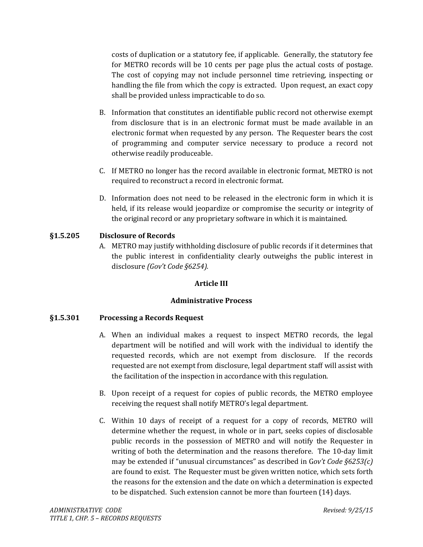costs of duplication or a statutory fee, if applicable. Generally, the statutory fee for METRO records will be 10 cents per page plus the actual costs of postage. The cost of copying may not include personnel time retrieving, inspecting or handling the file from which the copy is extracted. Upon request, an exact copy shall be provided unless impracticable to do so.

- B. Information that constitutes an identifiable public record not otherwise exempt from disclosure that is in an electronic format must be made available in an electronic format when requested by any person. The Requester bears the cost of programming and computer service necessary to produce a record not otherwise readily produceable.
- C. If METRO no longer has the record available in electronic format, METRO is not required to reconstruct a record in electronic format.
- D. Information does not need to be released in the electronic form in which it is held, if its release would jeopardize or compromise the security or integrity of the original record or any proprietary software in which it is maintained.

## **§1.5.205 Disclosure of Records**

A. METRO may justify withholding disclosure of public records if it determines that the public interest in confidentiality clearly outweighs the public interest in disclosure *(Gov't Code §6254).*

### **Article III**

### **Administrative Process**

### **§1.5.301 Processing a Records Request**

- A. When an individual makes a request to inspect METRO records, the legal department will be notified and will work with the individual to identify the requested records, which are not exempt from disclosure. If the records requested are not exempt from disclosure, legal department staff will assist with the facilitation of the inspection in accordance with this regulation.
- B. Upon receipt of a request for copies of public records, the METRO employee receiving the request shall notify METRO's legal department.
- C. Within 10 days of receipt of a request for a copy of records, METRO will determine whether the request, in whole or in part, seeks copies of disclosable public records in the possession of METRO and will notify the Requester in writing of both the determination and the reasons therefore. The 10-day limit may be extended if "unusual circumstances" as described in G*ov't Code §6253(c)* are found to exist. The Requester must be given written notice, which sets forth the reasons for the extension and the date on which a determination is expected to be dispatched. Such extension cannot be more than fourteen (14) days.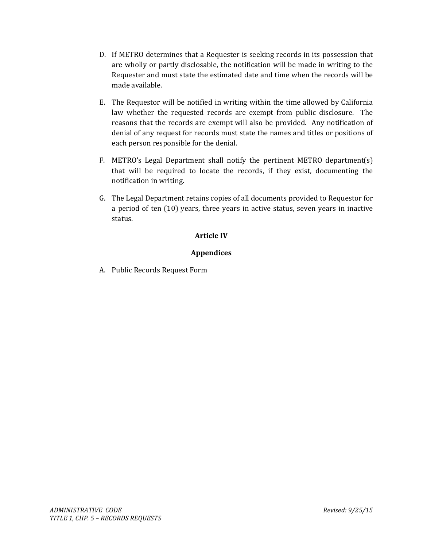- D. If METRO determines that a Requester is seeking records in its possession that are wholly or partly disclosable, the notification will be made in writing to the Requester and must state the estimated date and time when the records will be made available.
- E. The Requestor will be notified in writing within the time allowed by California law whether the requested records are exempt from public disclosure. The reasons that the records are exempt will also be provided. Any notification of denial of any request for records must state the names and titles or positions of each person responsible for the denial.
- F. METRO's Legal Department shall notify the pertinent METRO department(s) that will be required to locate the records, if they exist, documenting the notification in writing.
- G. The Legal Department retains copies of all documents provided to Requestor for a period of ten (10) years, three years in active status, seven years in inactive status.

## **Article IV**

## **Appendices**

A. Public Records Request Form